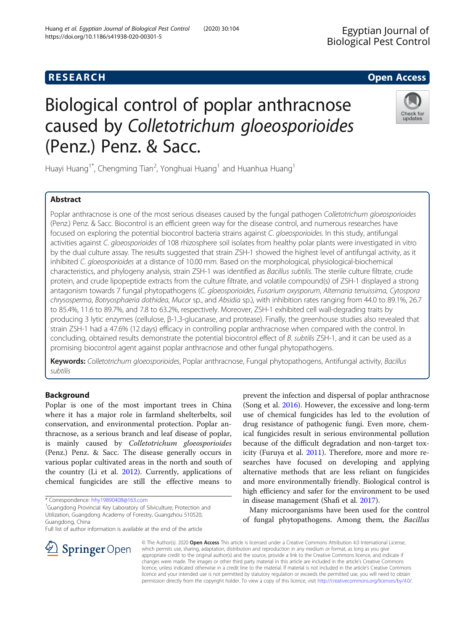# Biological control of poplar anthracnose caused by Colletotrichum gloeosporioides (Penz.) Penz. & Sacc.

Huayi Huang<sup>1\*</sup>, Chengming Tian<sup>2</sup>, Yonghuai Huang<sup>1</sup> and Huanhua Huang<sup>1</sup>

# Abstract

Poplar anthracnose is one of the most serious diseases caused by the fungal pathogen Colletotrichum gloeosporioides (Penz.) Penz. & Sacc. Biocontrol is an efficient green way for the disease control, and numerous researches have focused on exploring the potential biocontrol bacteria strains against C. gloeosporioides. In this study, antifungal activities against C. gloeosporioides of 108 rhizosphere soil isolates from healthy polar plants were investigated in vitro by the dual culture assay. The results suggested that strain ZSH-1 showed the highest level of antifungal activity, as it inhibited C. gloeosporioides at a distance of 10.00 mm. Based on the morphological, physiological-biochemical characteristics, and phylogeny analysis, strain ZSH-1 was identified as Bacillus subtilis. The sterile culture filtrate, crude protein, and crude lipopeptide extracts from the culture filtrate, and volatile compound(s) of ZSH-1 displayed a strong antagonism towards 7 fungal phytopathogens (C. gloeosporioides, Fusarium oxysporum, Alternaria tenuissima, Cytospora chrysosperma, Botryosphaeria dothidea, Mucor sp., and Absidia sp.), with inhibition rates ranging from 44.0 to 89.1%, 26.7 to 85.4%, 11.6 to 89.7%, and 7.8 to 63.2%, respectively. Moreover, ZSH-1 exhibited cell wall-degrading traits by producing 3 lytic enzymes (cellulose, β-1,3-glucanase, and protease). Finally, the greenhouse studies also revealed that strain ZSH-1 had a 47.6% (12 days) efficacy in controlling poplar anthracnose when compared with the control. In concluding, obtained results demonstrate the potential biocontrol effect of B. subtilis ZSH-1, and it can be used as a promising biocontrol agent against poplar anthracnose and other fungal phytopathogens.

Keywords: Colletotrichum gloeosporioides, Poplar anthracnose, Fungal phytopathogens, Antifungal activity, Bacillus subtilis

# Background

Poplar is one of the most important trees in China where it has a major role in farmland shelterbelts, soil conservation, and environmental protection. Poplar anthracnose, as a serious branch and leaf disease of poplar, is mainly caused by Colletotrichum gloeosporioides (Penz.) Penz. & Sacc. The disease generally occurs in various poplar cultivated areas in the north and south of the country (Li et al. [2012\)](#page-7-0). Currently, applications of chemical fungicides are still the effective means to

<sup>1</sup>Guangdong Provincial Key Laboratory of Silviculture, Protection and Utilization, Guangdong Academy of Forestry, Guangzhou 510520, Guangdong, China

prevent the infection and dispersal of poplar anthracnose (Song et al. [2016\)](#page-7-0). However, the excessive and long-term use of chemical fungicides has led to the evolution of drug resistance of pathogenic fungi. Even more, chemical fungicides result in serious environmental pollution because of the difficult degradation and non-target toxicity (Furuya et al. [2011\)](#page-7-0). Therefore, more and more researches have focused on developing and applying alternative methods that are less reliant on fungicides and more environmentally friendly. Biological control is high efficiency and safer for the environment to be used in disease management (Shafi et al. [2017](#page-7-0)).

Many microorganisms have been used for the control of fungal phytopathogens. Among them, the Bacillus

© The Author(s). 2020 Open Access This article is licensed under a Creative Commons Attribution 4.0 International License, which permits use, sharing, adaptation, distribution and reproduction in any medium or format, as long as you give appropriate credit to the original author(s) and the source, provide a link to the Creative Commons licence, and indicate if changes were made. The images or other third party material in this article are included in the article's Creative Commons licence, unless indicated otherwise in a credit line to the material. If material is not included in the article's Creative Commons licence and your intended use is not permitted by statutory regulation or exceeds the permitted use, you will need to obtain permission directly from the copyright holder. To view a copy of this licence, visit <http://creativecommons.org/licenses/by/4.0/>.





**RESEARCH CHE Open Access** 

<sup>\*</sup> Correspondence: [hhy19890408@163.com](mailto:hhy19890408@163.com) <sup>1</sup>

Full list of author information is available at the end of the article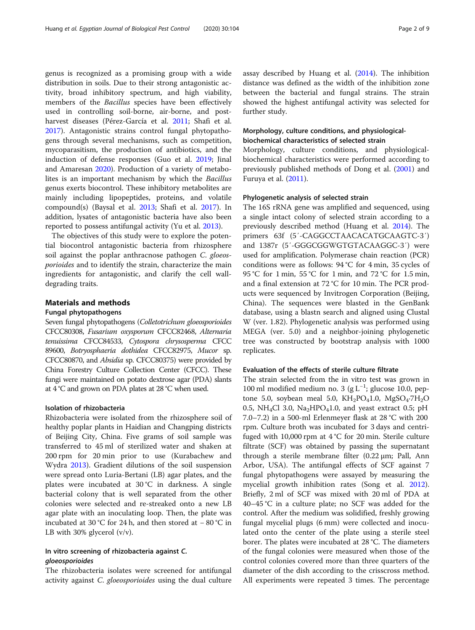genus is recognized as a promising group with a wide distribution in soils. Due to their strong antagonistic activity, broad inhibitory spectrum, and high viability, members of the *Bacillus* species have been effectively used in controlling soil-borne, air-borne, and postharvest diseases (Pérez-García et al. [2011](#page-7-0); Shafi et al. [2017](#page-7-0)). Antagonistic strains control fungal phytopathogens through several mechanisms, such as competition, mycoparasitism, the production of antibiotics, and the induction of defense responses (Guo et al. [2019](#page-7-0); Jinal and Amaresan [2020](#page-7-0)). Production of a variety of metabolites is an important mechanism by which the Bacillus genus exerts biocontrol. These inhibitory metabolites are mainly including lipopeptides, proteins, and volatile compound(s) (Baysal et al. [2013](#page-7-0); Shafi et al. [2017\)](#page-7-0). In addition, lysates of antagonistic bacteria have also been reported to possess antifungal activity (Yu et al. [2013](#page-7-0)).

The objectives of this study were to explore the potential biocontrol antagonistic bacteria from rhizosphere soil against the poplar anthracnose pathogen C. gloeosporioides and to identify the strain, characterize the main ingredients for antagonistic, and clarify the cell walldegrading traits.

#### Materials and methods

#### Fungal phytopathogens

Seven fungal phytopathogens (Colletotrichum gloeosporioides CFCC80308, Fusarium oxysporum CFCC82468, Alternaria tenuissima CFCC84533, Cytospora chrysosperma CFCC 89600, Botryosphaeria dothidea CFCC82975, Mucor sp. CFCC80870, and Absidia sp. CFCC80375) were provided by China Forestry Culture Collection Center (CFCC). These fungi were maintained on potato dextrose agar (PDA) slants at 4 °C and grown on PDA plates at 28 °C when used.

# Isolation of rhizobacteria

Rhizobacteria were isolated from the rhizosphere soil of healthy poplar plants in Haidian and Changping districts of Beijing City, China. Five grams of soil sample was transferred to 45 ml of sterilized water and shaken at 200 rpm for 20 min prior to use (Kurabachew and Wydra [2013](#page-7-0)). Gradient dilutions of the soil suspension were spread onto Luria-Bertani (LB) agar plates, and the plates were incubated at  $30^{\circ}$ C in darkness. A single bacterial colony that is well separated from the other colonies were selected and re-streaked onto a new LB agar plate with an inoculating loop. Then, the plate was incubated at 30 °C for 24 h, and then stored at − 80 °C in LB with 30% glycerol  $(v/v)$ .

# In vitro screening of rhizobacteria against C. gloeosporioides

The rhizobacteria isolates were screened for antifungal activity against *C. gloeosporioides* using the dual culture assay described by Huang et al. [\(2014](#page-7-0)). The inhibition distance was defined as the width of the inhibition zone between the bacterial and fungal strains. The strain showed the highest antifungal activity was selected for further study.

# Morphology, culture conditions, and physiologicalbiochemical characteristics of selected strain

Morphology, culture conditions, and physiologicalbiochemical characteristics were performed according to previously published methods of Dong et al. [\(2001\)](#page-7-0) and Furuya et al. ([2011](#page-7-0)).

### Phylogenetic analysis of selected strain

The 16S rRNA gene was amplified and sequenced, using a single intact colony of selected strain according to a previously described method (Huang et al. [2014](#page-7-0)). The primers 63f (5′-CAGGCCTAACACATGCAAGTC-3′) and 1387r (5′-GGGCGGWGTGTACAAGGC-3′) were used for amplification. Polymerase chain reaction (PCR) conditions were as follows: 94 °C for 4 min, 35 cycles of 95 °C for 1 min, 55 °C for 1 min, and 72 °C for 1.5 min, and a final extension at 72 °C for 10 min. The PCR products were sequenced by Invitrogen Corporation (Beijing, China). The sequences were blasted in the GenBank database, using a blastn search and aligned using Clustal W (ver. 1.82). Phylogenetic analysis was performed using MEGA (ver. 5.0) and a neighbor-joining phylogenetic tree was constructed by bootstrap analysis with 1000 replicates.

# Evaluation of the effects of sterile culture filtrate

The strain selected from the in vitro test was grown in 100 ml modified medium no. 3 (g L−<sup>1</sup> ; glucose 10.0, peptone 5.0, soybean meal 5.0,  $KH_2PO_41.0$ ,  $MgSO_4·7H_2O$ 0.5, NH<sub>4</sub>Cl 3.0, Na<sub>2</sub>HPO<sub>4</sub>1.0, and yeast extract 0.5; pH 7.0–7.2) in a 500-ml Erlenmeyer flask at 28 °C with 200 rpm. Culture broth was incubated for 3 days and centrifuged with 10,000 rpm at  $4^{\circ}$ C for 20 min. Sterile culture filtrate (SCF) was obtained by passing the supernatant through a sterile membrane filter (0.22 μm; Pall, Ann Arbor, USA). The antifungal effects of SCF against 7 fungal phytopathogens were assayed by measuring the mycelial growth inhibition rates (Song et al. [2012](#page-7-0)). Briefly, 2 ml of SCF was mixed with 20 ml of PDA at 40–45 °C in a culture plate; no SCF was added for the control. After the medium was solidified, freshly growing fungal mycelial plugs (6 mm) were collected and inoculated onto the center of the plate using a sterile steel borer. The plates were incubated at 28 °C. The diameters of the fungal colonies were measured when those of the control colonies covered more than three quarters of the diameter of the dish according to the crisscross method. All experiments were repeated 3 times. The percentage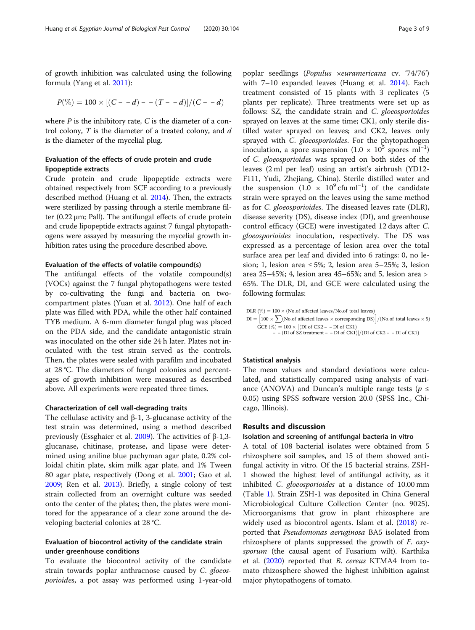of growth inhibition was calculated using the following formula (Yang et al. [2011\)](#page-7-0):

$$
P(\%)=100\times[(C--d)--(T--d)]/(C--d)
$$

where  $P$  is the inhibitory rate,  $C$  is the diameter of a control colony,  $T$  is the diameter of a treated colony, and  $d$ is the diameter of the mycelial plug.

# Evaluation of the effects of crude protein and crude lipopeptide extracts

Crude protein and crude lipopeptide extracts were obtained respectively from SCF according to a previously described method (Huang et al. [2014](#page-7-0)). Then, the extracts were sterilized by passing through a sterile membrane filter (0.22 μm; Pall). The antifungal effects of crude protein and crude lipopeptide extracts against 7 fungal phytopathogens were assayed by measuring the mycelial growth inhibition rates using the procedure described above.

# Evaluation of the effects of volatile compound(s)

The antifungal effects of the volatile compound(s) (VOCs) against the 7 fungal phytopathogens were tested by co-cultivating the fungi and bacteria on twocompartment plates (Yuan et al. [2012\)](#page-7-0). One half of each plate was filled with PDA, while the other half contained TYB medium. A 6-mm diameter fungal plug was placed on the PDA side, and the candidate antagonistic strain was inoculated on the other side 24 h later. Plates not inoculated with the test strain served as the controls. Then, the plates were sealed with parafilm and incubated at 28 °C. The diameters of fungal colonies and percentages of growth inhibition were measured as described above. All experiments were repeated three times.

#### Characterization of cell wall-degrading traits

The cellulase activity and β-1, 3-glucanase activity of the test strain was determined, using a method described previously (Essghaier et al. [2009\)](#page-7-0). The activities of β-1,3 glucanase, chitinase, protease, and lipase were determined using aniline blue pachyman agar plate, 0.2% colloidal chitin plate, skim milk agar plate, and 1% Tween 80 agar plate, respectively (Dong et al. [2001;](#page-7-0) Gao et al. [2009](#page-7-0); Ren et al. [2013](#page-7-0)). Briefly, a single colony of test strain collected from an overnight culture was seeded onto the center of the plates; then, the plates were monitored for the appearance of a clear zone around the developing bacterial colonies at 28 °C.

# Evaluation of biocontrol activity of the candidate strain under greenhouse conditions

To evaluate the biocontrol activity of the candidate strain towards poplar anthracnose caused by C. gloeosporioides, a pot assay was performed using 1-year-old

poplar seedlings (Populus ×euramericana cv. '74/76') with 7–10 expanded leaves (Huang et al. [2014\)](#page-7-0). Each treatment consisted of 15 plants with 3 replicates (5 plants per replicate). Three treatments were set up as follows: SZ, the candidate strain and C. gloeosporioides sprayed on leaves at the same time; CK1, only sterile distilled water sprayed on leaves; and CK2, leaves only sprayed with *C. gloeosporioides*. For the phytopathogen inoculation, a spore suspension  $(1.0 \times 10^5 \text{ spores ml}^{-1})$ of C. gloeosporioides was sprayed on both sides of the leaves (2 ml per leaf) using an artist's airbrush (YD12- F111, Yudi, Zhejiang, China). Sterile distilled water and the suspension  $(1.0 \times 10^{9} \text{ cftm}^{-1})$  of the candidate strain were sprayed on the leaves using the same method as for C. gloeosporioides. The diseased leaves rate (DLR), disease severity (DS), disease index (DI), and greenhouse control efficacy (GCE) were investigated 12 days after C. gloeosporioides inoculation, respectively. The DS was expressed as a percentage of lesion area over the total surface area per leaf and divided into 6 ratings: 0, no lesion; 1, lesion area ≤ 5%; 2, lesion area 5–25%; 3, lesion area 25–45%; 4, lesion area 45–65%; and 5, lesion area > 65%. The DLR, DI, and GCE were calculated using the following formulas:

DLR (
$$
\%
$$
) = 100 × (No. of affected leaves/No. of total leaves)

\nDI =  $\left[100 \times \sum_{s=1}^{N} (No \cdot 0) \text{ affected leaves} \times \text{corresponding DS}\right] / (No. of total leaves \times 5)$ 

\nGCE ( $\%$ ) = 100 × [(DI of CK2 - - DI of CK1)

\n $-$  - (DI of SZ treatment - - DI of CK1)] / (DI of CK2 - - DI of CK1)

### Statistical analysis

The mean values and standard deviations were calculated, and statistically compared using analysis of variance (ANOVA) and Duncan's multiple range tests ( $p \leq$ 0.05) using SPSS software version 20.0 (SPSS Inc., Chicago, Illinois).

#### Results and discussion

#### Isolation and screening of antifungal bacteria in vitro

A total of 108 bacterial isolates were obtained from 5 rhizosphere soil samples, and 15 of them showed antifungal activity in vitro. Of the 15 bacterial strains, ZSH-1 showed the highest level of antifungal activity, as it inhibited C. gloeosporioides at a distance of 10.00 mm (Table [1](#page-3-0)). Strain ZSH-1 was deposited in China General Microbiological Culture Collection Center (no. 9025). Microorganisms that grow in plant rhizosphere are widely used as biocontrol agents. Islam et al. [\(2018\)](#page-7-0) reported that Pseudomonas aeruginosa BA5 isolated from rhizosphere of plants suppressed the growth of F. oxysporum (the causal agent of Fusarium wilt). Karthika et al. ([2020](#page-7-0)) reported that B. cereus KTMA4 from tomato rhizosphere showed the highest inhibition against major phytopathogens of tomato.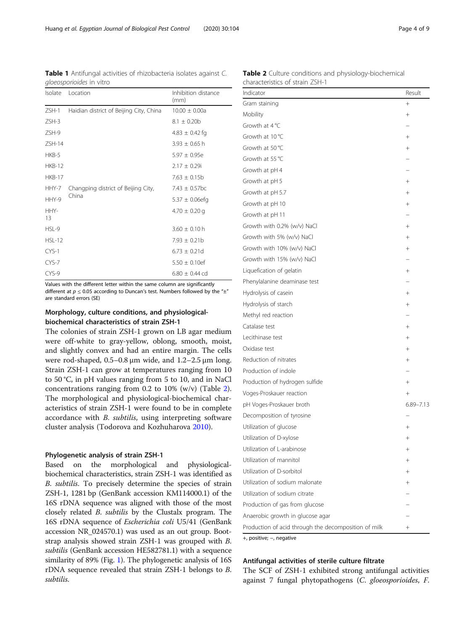<span id="page-3-0"></span>Table 1 Antifungal activities of rhizobacteria isolates against C. gloeosporioides in vitro

| Isolate       | Location                                     | Inhibition distance<br>(mm) |
|---------------|----------------------------------------------|-----------------------------|
| $ZSH-1$       | Haidian district of Beijing City, China      | $10.00 \pm 0.00a$           |
| $ZSH-3$       |                                              | $8.1 \pm 0.20$ b            |
| ZSH-9         |                                              | $4.83 \pm 0.42$ fg          |
| $ZSH-14$      |                                              | $3.93 + 0.65$ h             |
| HKB-5         |                                              | $5.97 \pm 0.95e$            |
| <b>HKB-12</b> |                                              | $2.17 \pm 0.29$ i           |
| <b>HKB-17</b> |                                              | $7.63 \pm 0.15b$            |
| HHY-7         | Changping district of Beijing City,<br>China | $7.43 \pm 0.57$ bc          |
| HHY-9         |                                              | $5.37 \pm 0.06$ efg         |
| HHY-<br>13    |                                              | $4.70 \pm 0.20$ g           |
| HSL-9         |                                              | $3.60 \pm 0.10$ h           |
| $HSL-12$      |                                              | $7.93 \pm 0.21b$            |
| CYS-1         |                                              | $6.73 \pm 0.21d$            |
| $CYS-7$       |                                              | $5.50 \pm 0.10$ ef          |
| CYS-9         |                                              | $6.80 \pm 0.44$ cd          |

Values with the different letter within the same column are significantly different at  $p \le 0.05$  according to Duncan's test. Numbers followed by the " $\pm$ " are standard errors (SE)

# Morphology, culture conditions, and physiologicalbiochemical characteristics of strain ZSH-1

The colonies of strain ZSH-1 grown on LB agar medium were off-white to gray-yellow, oblong, smooth, moist, and slightly convex and had an entire margin. The cells were rod-shaped, 0.5–0.8 μm wide, and 1.2–2.5 μm long. Strain ZSH-1 can grow at temperatures ranging from 10 to 50 °C, in pH values ranging from 5 to 10, and in NaCl concentrations ranging from 0.2 to 10% (w/v) (Table 2). The morphological and physiological-biochemical characteristics of strain ZSH-1 were found to be in complete accordance with B. subtilis, using interpreting software cluster analysis (Todorova and Kozhuharova [2010](#page-7-0)).

# Phylogenetic analysis of strain ZSH-1

Based on the morphological and physiologicalbiochemical characteristics, strain ZSH-1 was identified as B. subtilis. To precisely determine the species of strain ZSH-1, 1281 bp (GenBank accession KM114000.1) of the 16S rDNA sequence was aligned with those of the most closely related B. subtilis by the Clustalx program. The 16S rDNA sequence of Escherichia coli U5/41 (GenBank accession NR\_024570.1) was used as an out group. Bootstrap analysis showed strain ZSH-1 was grouped with B. subtilis (GenBank accession HE582781.1) with a sequence similarity of 89% (Fig. [1](#page-4-0)). The phylogenetic analysis of 16S rDNA sequence revealed that strain ZSH-1 belongs to B. subtilis.

Table 2 Culture conditions and physiology-biochemical characteristics of strain ZSH-1

| Indicator                                            | Result         |
|------------------------------------------------------|----------------|
| Gram staining                                        | $^{+}$         |
| Mobility                                             | $+$            |
| Growth at $4^{\circ}$ C                              |                |
| Growth at 10 °C                                      | $+$            |
| Growth at 50 °C                                      | $+$            |
| Growth at 55 °C                                      |                |
| Growth at pH 4                                       |                |
| Growth at pH 5                                       | $^{+}$         |
| Growth at pH 5.7                                     | $+$            |
| Growth at pH 10                                      | $^{+}$         |
| Growth at pH 11                                      |                |
| Growth with 0.2% (w/v) NaCl                          | $+$            |
| Growth with 5% (w/v) NaCl                            | $+$            |
| Growth with 10% (w/v) NaCl                           | $+$            |
| Growth with 15% (w/v) NaCl                           |                |
| Liquefication of gelatin                             | $^{+}$         |
| Phenylalanine deaminase test                         |                |
| Hydrolysis of casein                                 | $+$            |
| Hydrolysis of starch                                 | $+$            |
| Methyl red reaction                                  |                |
| Catalase test                                        | $+$            |
| Lecithinase test                                     | $+$            |
| Oxidase test                                         | $+$            |
| Reduction of nitrates                                | $+$            |
| Production of indole                                 |                |
| Production of hydrogen sulfide                       | $^{+}$         |
| Voges-Proskauer reaction                             | $+$            |
| pH Voges-Proskauer broth                             | $6.89 - 7.13$  |
| Decomposition of tyrosine                            |                |
| Utilization of glucose                               | $+$            |
| Utilization of D-xylose                              | $+$            |
| Utilization of L-arabinose                           | $^{+}$         |
| Utilization of mannitol                              | $^+$           |
| Utilization of D-sorbitol                            | $\overline{+}$ |
| Utilization of sodium malonate                       | $^{+}$         |
| Utilization of sodium citrate                        |                |
| Production of gas from glucose                       |                |
| Anaerobic growth in glucose agar                     |                |
| Production of acid through the decomposition of milk | $+$            |

+, positive; −, negative

#### Antifungal activities of sterile culture filtrate

The SCF of ZSH-1 exhibited strong antifungal activities against 7 fungal phytopathogens (C. gloeosporioides, F.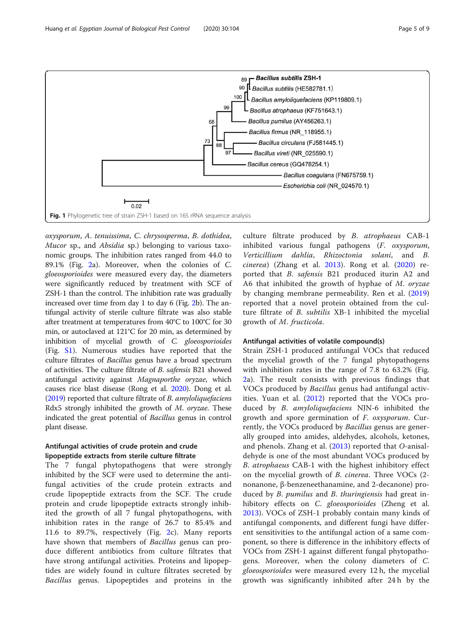<span id="page-4-0"></span>

oxysporum, A. tenuissima, C. chrysosperma, B. dothidea, Mucor sp., and Absidia sp.) belonging to various taxonomic groups. The inhibition rates ranged from 44.0 to 89.1% (Fig. [2a](#page-5-0)). Moreover, when the colonies of C. gloeosporioides were measured every day, the diameters were significantly reduced by treatment with SCF of ZSH-1 than the control. The inhibition rate was gradually increased over time from day 1 to day 6 (Fig. [2](#page-5-0)b). The antifungal activity of sterile culture filtrate was also stable after treatment at temperatures from 40°C to 100°C for 30 min, or autoclaved at 121°C for 20 min, as determined by inhibition of mycelial growth of C. gloeosporioides (Fig. [S1](#page-6-0)). Numerous studies have reported that the culture filtrates of Bacillus genus have a broad spectrum of activities. The culture filtrate of B. safensis B21 showed antifungal activity against Magnaporthe oryzae, which causes rice blast disease (Rong et al. [2020\)](#page-7-0). Dong et al. ([2019](#page-7-0)) reported that culture filtrate of B. amyloliquefaciens Rdx5 strongly inhibited the growth of M. oryzae. These indicated the great potential of Bacillus genus in control plant disease.

# Antifungal activities of crude protein and crude lipopeptide extracts from sterile culture filtrate

The 7 fungal phytopathogens that were strongly inhibited by the SCF were used to determine the antifungal activities of the crude protein extracts and crude lipopeptide extracts from the SCF. The crude protein and crude lipopeptide extracts strongly inhibited the growth of all 7 fungal phytopathogens, with inhibition rates in the range of 26.7 to 85.4% and 11.6 to 89.7%, respectively (Fig. [2c](#page-5-0)). Many reports have shown that members of Bacillus genus can produce different antibiotics from culture filtrates that have strong antifungal activities. Proteins and lipopeptides are widely found in culture filtrates secreted by Bacillus genus. Lipopeptides and proteins in the culture filtrate produced by B. atrophaeus CAB-1 inhibited various fungal pathogens (F. oxysporum, Verticillium dahlia, Rhizoctonia solani, and B. cinerea) (Zhang et al. [2013](#page-8-0)). Rong et al. ([2020\)](#page-7-0) reported that B. safensis B21 produced iturin A2 and A6 that inhibited the growth of hyphae of M. oryzae by changing membrane permeability. Ren et al. [\(2019](#page-7-0)) reported that a novel protein obtained from the culture filtrate of *B. subtilis* XB-1 inhibited the mycelial growth of M. fructicola.

#### Antifungal activities of volatile compound(s)

Strain ZSH-1 produced antifungal VOCs that reduced the mycelial growth of the 7 fungal phytopathogens with inhibition rates in the range of 7.8 to 63.2% (Fig. [2a](#page-5-0)). The result consists with previous findings that VOCs produced by Bacillus genus had antifungal activities. Yuan et al. [\(2012](#page-7-0)) reported that the VOCs produced by *B. amyloliquefaciens* NJN-6 inhibited the growth and spore germination of F. oxysporum. Currently, the VOCs produced by Bacillus genus are generally grouped into amides, aldehydes, alcohols, ketones, and phenols. Zhang et al. [\(2013](#page-8-0)) reported that O-anisaldehyde is one of the most abundant VOCs produced by B. atrophaeus CAB-1 with the highest inhibitory effect on the mycelial growth of B. cinerea. Three VOCs (2 nonanone, β-benzeneethanamine, and 2-decanone) produced by *B. pumilus* and *B. thuringiensis* had great inhibitory effects on C. gloeosporioides (Zheng et al. [2013\)](#page-8-0). VOCs of ZSH-1 probably contain many kinds of antifungal components, and different fungi have different sensitivities to the antifungal action of a same component, so there is difference in the inhibitory effects of VOCs from ZSH-1 against different fungal phytopathogens. Moreover, when the colony diameters of C. gloeosporioides were measured every 12 h, the mycelial growth was significantly inhibited after 24 h by the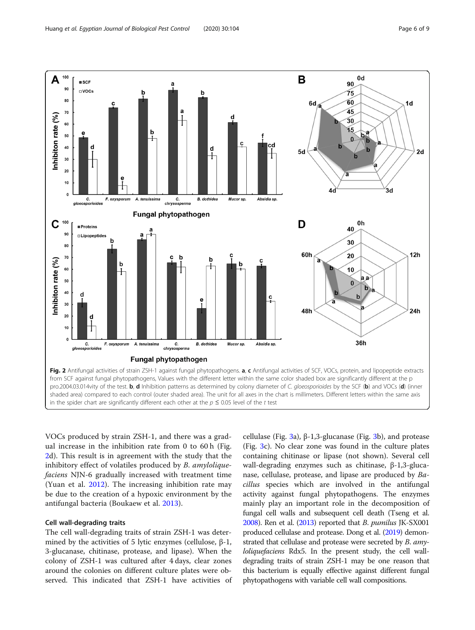<span id="page-5-0"></span>

VOCs produced by strain ZSH-1, and there was a gradual increase in the inhibition rate from 0 to 60 h (Fig. 2d). This result is in agreement with the study that the inhibitory effect of volatiles produced by *B. amylolique*faciens NJN-6 gradually increased with treatment time (Yuan et al. [2012](#page-7-0)). The increasing inhibition rate may be due to the creation of a hypoxic environment by the antifungal bacteria (Boukaew et al. [2013\)](#page-7-0).

#### Cell wall-degrading traits

The cell wall-degrading traits of strain ZSH-1 was determined by the activities of 5 lytic enzymes (cellulose,  $β-1$ , 3-glucanase, chitinase, protease, and lipase). When the colony of ZSH-1 was cultured after 4 days, clear zones around the colonies on different culture plates were observed. This indicated that ZSH-1 have activities of

cellulase (Fig. [3a](#page-6-0)),  $β-1,3-glucanase$  (Fig. [3b](#page-6-0)), and protease (Fig. [3](#page-6-0)c). No clear zone was found in the culture plates containing chitinase or lipase (not shown). Several cell wall-degrading enzymes such as chitinase, β-1,3-glucanase, cellulase, protease, and lipase are produced by Bacillus species which are involved in the antifungal activity against fungal phytopathogens. The enzymes mainly play an important role in the decomposition of fungal cell walls and subsequent cell death (Tseng et al. [2008\)](#page-7-0). Ren et al. [\(2013\)](#page-7-0) reported that *B. pumilus* JK-SX001 produced cellulase and protease. Dong et al. [\(2019\)](#page-7-0) demonstrated that cellulase and protease were secreted by B. amyloliquefaciens Rdx5. In the present study, the cell walldegrading traits of strain ZSH-1 may be one reason that this bacterium is equally effective against different fungal phytopathogens with variable cell wall compositions.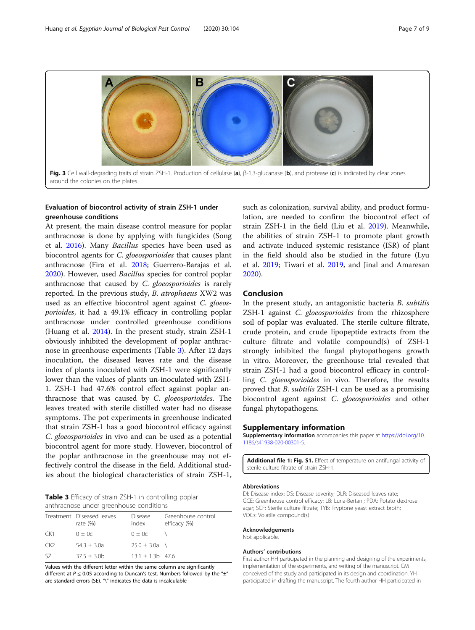<span id="page-6-0"></span>

# Evaluation of biocontrol activity of strain ZSH-1 under greenhouse conditions

At present, the main disease control measure for poplar anthracnose is done by applying with fungicides (Song et al. [2016\)](#page-7-0). Many Bacillus species have been used as biocontrol agents for C. gloeosporioides that causes plant anthracnose (Fira et al. [2018](#page-7-0); Guerrero-Barajas et al. [2020](#page-7-0)). However, used Bacillus species for control poplar anthracnose that caused by C. gloeosporioides is rarely reported. In the previous study, B. atrophaeus XW2 was used as an effective biocontrol agent against C. gloeosporioides, it had a 49.1% efficacy in controlling poplar anthracnose under controlled greenhouse conditions (Huang et al. [2014](#page-7-0)). In the present study, strain ZSH-1 obviously inhibited the development of poplar anthracnose in greenhouse experiments (Table 3). After 12 days inoculation, the diseased leaves rate and the disease index of plants inoculated with ZSH-1 were significantly lower than the values of plants un-inoculated with ZSH-1. ZSH-1 had 47.6% control effect against poplar anthracnose that was caused by C. gloeosporioides. The leaves treated with sterile distilled water had no disease symptoms. The pot experiments in greenhouse indicated that strain ZSH-1 has a good biocontrol efficacy against C. gloeosporioides in vivo and can be used as a potential biocontrol agent for more study. However, biocontrol of the poplar anthracnose in the greenhouse may not effectively control the disease in the field. Additional studies about the biological characteristics of strain ZSH-1,

Table 3 Efficacy of strain ZSH-1 in controlling poplar anthracnose under greenhouse conditions

|     | Treatment Diseased leaves<br>rate $(\%)$ | Disease<br>index   | Greenhouse control<br>efficacy (%) |
|-----|------------------------------------------|--------------------|------------------------------------|
| CK1 | $0 + 0c$                                 | $0 + 0c$           |                                    |
| CK2 | $54.3 + 3.0a$                            | $25.0 + 3.0a$ \    |                                    |
| 57  | $37.5 + 3.0b$                            | $13.1 + 1.3b$ 47.6 |                                    |

Values with the different letter within the same column are significantly different at  $P \le 0.05$  according to Duncan's test. Numbers followed by the " $\pm$ " are standard errors (SE). "\" indicates the data is incalculable

such as colonization, survival ability, and product formulation, are needed to confirm the biocontrol effect of strain ZSH-1 in the field (Liu et al. [2019\)](#page-7-0). Meanwhile, the abilities of strain ZSH-1 to promote plant growth and activate induced systemic resistance (ISR) of plant in the field should also be studied in the future (Lyu et al. [2019](#page-7-0); Tiwari et al. [2019,](#page-7-0) and Jinal and Amaresan [2020](#page-7-0)).

#### Conclusion

In the present study, an antagonistic bacteria B. subtilis ZSH-1 against C. gloeosporioides from the rhizosphere soil of poplar was evaluated. The sterile culture filtrate, crude protein, and crude lipopeptide extracts from the culture filtrate and volatile compound(s) of ZSH-1 strongly inhibited the fungal phytopathogens growth in vitro. Moreover, the greenhouse trial revealed that strain ZSH-1 had a good biocontrol efficacy in controlling C. gloeosporioides in vivo. Therefore, the results proved that *B. subtilis* ZSH-1 can be used as a promising biocontrol agent against C. gloeosporioides and other fungal phytopathogens.

#### Supplementary information

Supplementary information accompanies this paper at [https://doi.org/10.](https://doi.org/10.1186/s41938-020-00301-5) [1186/s41938-020-00301-5](https://doi.org/10.1186/s41938-020-00301-5).

Additional file 1: Fig. S1. Effect of temperature on antifungal activity of sterile culture filtrate of strain ZSH-1.

#### Abbreviations

DI: Disease index; DS: Disease severity; DLR: Diseased leaves rate; GCE: Greenhouse control efficacy; LB: Luria-Bertani; PDA: Potato dextrose agar; SCF: Sterile culture filtrate; TYB: Tryptone yeast extract broth; VOCs: Volatile compound(s)

#### Acknowledgements

Not applicable.

#### Authors' contributions

First author HH participated in the planning and designing of the experiments, implementation of the experiments, and writing of the manuscript. CM conceived of the study and participated in its design and coordination. YH participated in drafting the manuscript. The fourth author HH participated in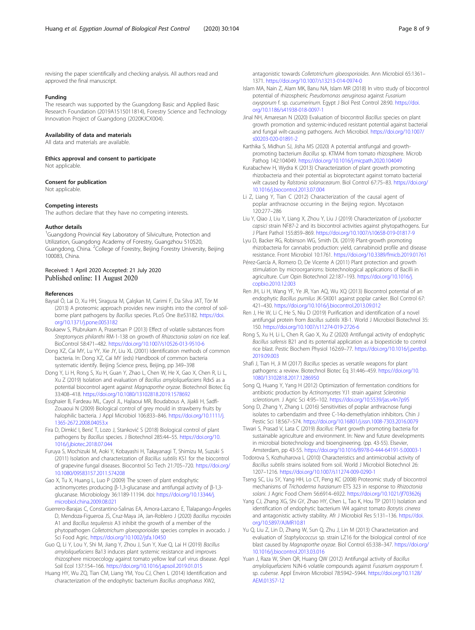<span id="page-7-0"></span>revising the paper scientifically and checking analysis. All authors read and approved the final manuscript.

#### Funding

The research was supported by the Guangdong Basic and Applied Basic Research Foundation (2019A1515011814), Forestry Science and Technology Innovation Project of Guangdong (2020KJCX004).

#### Availability of data and materials

All data and materials are available.

Ethics approval and consent to participate Not applicable.

#### Consent for publication

Not applicable.

#### Competing interests

The authors declare that they have no competing interests.

#### Author details

<sup>1</sup>Guangdong Provincial Key Laboratory of Silviculture, Protection and Utilization, Guangdong Academy of Forestry, Guangzhou 510520, Guangdong, China. <sup>2</sup>College of Forestry, Beijing Forestry University, Beijing 100083, China.

#### Received: 1 April 2020 Accepted: 21 July 2020 Published online: 11 August 2020

#### References

- Baysal Ö, Lai D, Xu HH, Siragusa M, Çalışkan M, Carimi F, Da Silva JAT, Tör M (2013) A proteomic approach provides new insights into the control of soilborne plant pathogens by Bacillus species. PLoS One 8:e53182. [https://doi.](https://doi.org/10.1371/j.pone.0053182) [org/10.1371/j.pone.0053182](https://doi.org/10.1371/j.pone.0053182)
- Boukaew S, Plubrukam A, Prasertsan P (2013) Effect of volatile substances from Streptomyces philanthi RM-1-138 on growth of Rhizoctonia solani on rice leaf. BioControl 58:471–482. <https://doi.org/10.1007/s10526-013-9510-6>
- Dong XZ, Cai MY, Lu YY, Xie JY, Liu XL (2001) Identification methods of common bacteria. In: Dong XZ, Cai MY (eds) Handbook of common bacteria systematic identify. Beijing Science press, Beijing, pp 349–398
- Dong Y, Li H, Rong S, Xu H, Guan Y, Zhao L, Chen W, He X, Gao X, Chen R, Li L, Xu Z (2019) Isolation and evaluation of Bacillus amyloliquefaciens Rdx5 as a potential biocontrol agent against Magnaporthe oryzae. Biotechnol Biotec Eq 33:408–418. <https://doi.org/10.1080/13102818.2019.1578692>
- Essghaier B, Fardeau ML, Cayol JL, Hajlaoui MR, Boudabous A, Jijakli H, Sadfi-Zouaoui N (2009) Biological control of grey mould in strawberry fruits by halophilic bacteria. J Appl Microbiol 106:833–846. [https://doi.org/10.1111/j.](https://doi.org/10.1111/j.1365-2672.2008.04053.x) [1365-2672.2008.04053.x](https://doi.org/10.1111/j.1365-2672.2008.04053.x)
- Fira D, Dimkić I, Berić T, Lozo J, Stanković S (2018) Biological control of plant pathogens by Bacillus species. J Biotechnol 285:44–55. [https://doi.org/10.](https://doi.org/10.1016/j.jbiotec.2018.07.044) [1016/j.jbiotec.2018.07.044](https://doi.org/10.1016/j.jbiotec.2018.07.044)
- Furuya S, Mochizuki M, Aoki Y, Kobayashi H, Takayanagi T, Shimizu M, Suzuki S (2011) Isolation and characterization of Bacillus subtilis KS1 for the biocontrol of grapevine fungal diseases. Biocontrol Sci Tech 21:705–720. [https://doi.org/](https://doi.org/10.1080/09583157.2011.574208) [10.1080/09583157.2011.574208](https://doi.org/10.1080/09583157.2011.574208)
- Gao X, Tu X, Huang L, Luo P (2009) The screen of plant endophytic actinomycetes producing β-1,3-glucanase and antifungal activity of β-1,3 glucanase. Microbiology 36:1189-11194. doi: [https://doi.org/10.13344/j.](https://doi.org/10.13344/j.microbiol.china.2009.08.021) [microbiol.china.2009.08.021](https://doi.org/10.13344/j.microbiol.china.2009.08.021)
- Guerrero-Barajas C, Constantino-Salinas EA, Amora-Lazcano E, Tlalapango-Ángeles D, Mendoza-Figueroa JS, Cruz-Maya JA, Jan-Roblero J (2020) Bacillus mycoides A1 and Bacillus tequilensis A3 inhibit the growth of a member of the phytopathogen Colletotrichum gloeosporioides species complex in avocado. J Sci Food Agric. <https://doi.org/10.1002/jsfa.10450>
- Guo Q, Li Y, Lou Y, Shi M, Jiang Y, Zhou J, Sun Y, Xue Q, Lai H (2019) Bacillus amyloliquefaciens Ba13 induces plant systemic resistance and improves rhizosphere microecology against tomato yellow leaf curl virus disease. Appl Soil Ecol 137:154–166. <https://doi.org/10.1016/j.apsoil.2019.01.015>
- Huang HY, Wu ZQ, Tian CM, Liang YM, You CJ, Chen L (2014) Identification and characterization of the endophytic bacterium Bacillus atrophaeus XW2,

antagonistic towards Colletotrichum gloeosporioides. Ann Microbiol 65:1361– 1371. <https://doi.org/10.1007/s13213-014-0974-0>

- Islam MA, Nain Z, Alam MK, Banu NA, Islam MR (2018) In vitro study of biocontrol potential of rhizospheric Pseudomonas aeruginosa against Fusarium oxysporum f. sp. cucumerinum. Egypt J Biol Pest Control 28:90. [https://doi.](https://doi.org/10.1186/s41938-018-0097-1) [org/10.1186/s41938-018-0097-1](https://doi.org/10.1186/s41938-018-0097-1)
- Jinal NH, Amaresan N (2020) Evaluation of biocontrol Bacillus species on plant growth promotion and systemic-induced resistant potential against bacterial and fungal wilt-causing pathogens. Arch Microbiol. [https://doi.org/10.1007/](https://doi.org/10.1007/s00203-020-01891-2) [s00203-020-01891-2](https://doi.org/10.1007/s00203-020-01891-2)
- Karthika S, Midhun SJ, Jisha MS (2020) A potential antifungal and growthpromoting bacterium Bacillus sp. KTMA4 from tomato rhizosphere. Microb Pathog 142:104049. <https://doi.org/10.1016/j.micpath.2020.104049>
- Kurabachew H, Wydra K (2013) Characterization of plant growth promoting rhizobacteria and their potential as bioprotectant against tomato bacterial wilt caused by Ralstonia solanacearum. Biol Control 67:75–83. [https://doi.org/](https://doi.org/10.1016/j.biocontrol.2013.07.004) [10.1016/j.biocontrol.2013.07.004](https://doi.org/10.1016/j.biocontrol.2013.07.004)
- Li Z, Liang Y, Tian C (2012) Characterization of the causal agent of poplar anthracnose occurring in the Beijing region. Mycotaxon 120:277–286
- Liu Y, Qiao J, Liu Y, Liang X, Zhou Y, Liu J (2019) Characterization of Lysobacter capsici strain NF87-2 and its biocontrol activities against phytopathogens. Eur J Plant Pathol 155:859–869. <https://doi.org/10.1007/s10658-019-01817-9>
- Lyu D, Backer RG, Robinson WG, Smith DL (2019) Plant-growth promoting rhizobacteria for cannabis production: yield, cannabinoid profile and disease resistance. Front Microbiol 10:1761. <https://doi.org/10.3389/fmicb.2019.01761>
- Pérez-García A, Romero D, De Vicente A (2011) Plant protection and growth stimulation by microorganisms: biotechnological applications of Bacilli in agriculture. Curr Opin Biotechnol 22:187–193. [https://doi.org/10.1016/j.](https://doi.org/10.1016/j.copbio.2010.12.003) [copbio.2010.12.003](https://doi.org/10.1016/j.copbio.2010.12.003)
- Ren JH, Li H, Wang YF, Ye JR, Yan AQ, Wu XQ (2013) Biocontrol potential of an endophytic Bacillus pumilus JK-SX001 against poplar canker. Biol Control 67: 421–430. <https://doi.org/10.1016/j.biocontrol.2013.09.012>
- Ren J, He W, Li C, He S, Niu D (2019) Purification and identification of a novel antifungal protein from Bacillus subtilis XB-1. World J Microbiol Biotechnol 35: 150. <https://doi.org/10.1007/s11274-019-2726-6>
- Rong S, Xu H, Li L, Chen R, Gao X, Xu Z (2020) Antifungal activity of endophytic Bacillus safensis B21 and its potential application as a biopesticide to control rice blast. Pestic Biochem Physiol 162:69–77. [https://doi.org/10.1016/j.pestbp.](https://doi.org/10.1016/j.pestbp.2019.09.003) [2019.09.003](https://doi.org/10.1016/j.pestbp.2019.09.003)
- Shafi J, Tian H, Ji M (2017) Bacillus species as versatile weapons for plant pathogens: a review. Biotechnol Biotec Eq 31:446–459. [https://doi.org/10.](https://doi.org/10.1080/13102818.2017.1286950) [1080/13102818.2017.1286950](https://doi.org/10.1080/13102818.2017.1286950)
- Song Q, Huang Y, Yang H (2012) Optimization of fermentation conditions for antibiotic production by Actinomycetes YJ1 strain against Sclerotinia sclerotiorum. J Agric Sci 4:95–102. <https://doi.org/10.5539/jas.v4n7p95>
- Song D, Zhang Y, Zhang L (2016) Sensitivities of poplar anthracnose fungi isolates to carbendazim and three C-14α-demethylation inhibitors. Chin J Pestic Sci 18:567–574. <https://doi.org/10.16801/j.issn.1008-7303.2016.0079>
- Tiwari S, Prasad V, Lata C (2019) Bacillus: Plant growth promoting bacteria for sustainable agriculture and environment. In: New and future developments in microbial biotechnology and bioengineering. (pp. 43-55). Elsevier, Amsterdam, pp 43-55. <https://doi.org/10.1016/B978-0-444-64191-5.00003-1>
- Todorova S, Kozhuharova L (2010) Characteristics and antimicrobial activity of Bacillus subtilis strains isolated from soil. World J Microbiol Biotechnol 26: 1207–1216. <https://doi.org/10.1007/s11274-009-0290-1>
- Tseng SC, Liu SY, Yang HH, Lo CT, Peng KC (2008) Proteomic study of biocontrol mechanisms of Trichoderma harzianum ETS 323 in response to Rhizoctonia solani. J Agric Food Chem 56:6914–6922. <https://doi.org/10.1021/jf703626j>
- Yang CJ, Zhang XG, Shi GY, Zhao HY, Chen L, Tao K, Hou TP (2011) Isolation and identification of endophytic bacterium W4 against tomato Botrytis cinerea and antagonistic activity stability. Afr J Microbiol Res 5:131–136. [https://doi.](https://doi.org/10.5897/AJMR10.81) [org/10.5897/AJMR10.81](https://doi.org/10.5897/AJMR10.81)
- Yu Q, Liu Z, Lin D, Zhang W, Sun Q, Zhu J, Lin M (2013) Characterization and evaluation of Staphylococcus sp. strain LZ16 for the biological control of rice blast caused by Magnaporthe oryzae. Biol Control 65:338–347. [https://doi.org/](https://doi.org/10.1016/j.biocontrol.2013.03.016) [10.1016/j.biocontrol.2013.03.016](https://doi.org/10.1016/j.biocontrol.2013.03.016)
- Yuan J, Raza W, Shen QR, Huang QW (2012) Antifungal activity of Bacillus amyloliquefaciens NJN-6 volatile compounds against Fusarium oxysporum f. sp. cubense. Appl Environ Microbiol 78:5942–5944. [https://doi.org/10.1128/](https://doi.org/10.1128/AEM.01357-12) [AEM.01357-12](https://doi.org/10.1128/AEM.01357-12)